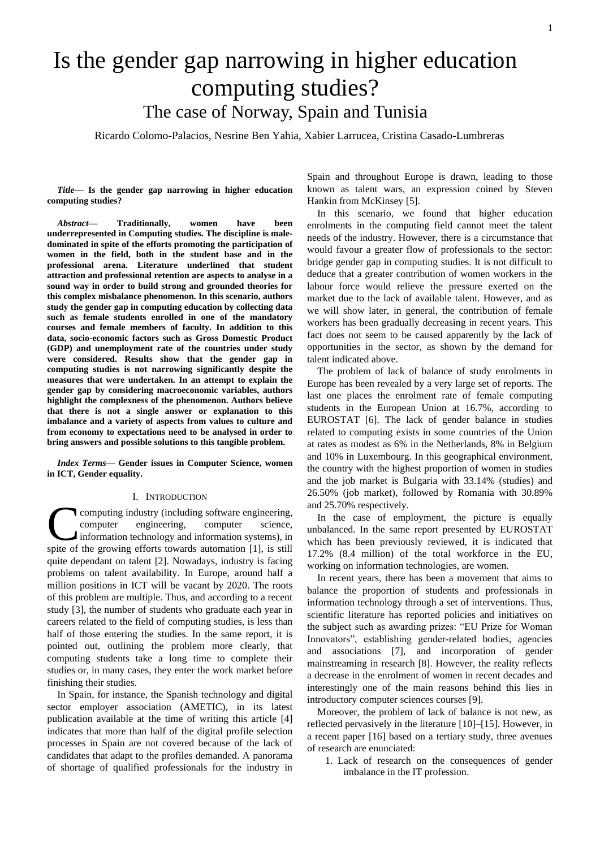# Is the gender gap narrowing in higher education computing studies? The case of Norway, Spain and Tunisia

Ricardo Colomo-Palacios, Nesrine Ben Yahia, Xabier Larrucea, Cristina Casado-Lumbreras

*Title***— Is the gender gap narrowing in higher education computing studies?**

*Abstract***— Traditionally, women have been underrepresented in Computing studies. The discipline is maledominated in spite of the efforts promoting the participation of women in the field, both in the student base and in the professional arena. Literature underlined that student attraction and professional retention are aspects to analyse in a sound way in order to build strong and grounded theories for this complex misbalance phenomenon. In this scenario, authors study the gender gap in computing education by collecting data such as female students enrolled in one of the mandatory courses and female members of faculty. In addition to this data, socio-economic factors such as Gross Domestic Product (GDP) and unemployment rate of the countries under study were considered. Results show that the gender gap in computing studies is not narrowing significantly despite the measures that were undertaken. In an attempt to explain the gender gap by considering macroeconomic variables, authors highlight the complexness of the phenomenon. Authors believe that there is not a single answer or explanation to this imbalance and a variety of aspects from values to culture and from economy to expectations need to be analysed in order to bring answers and possible solutions to this tangible problem.**

*Index Terms***— Gender issues in Computer Science, women in ICT, Gender equality.** 

#### I. INTRODUCTION

computing industry (including software engineering, computer engineering, computer science, information technology and information systems), in computing industry (including software engineering, computer engineering, computer science, information technology and information systems), in spite of the growing efforts towards automation [1], is still quite dependant on talent [2]. Nowadays, industry is facing problems on talent availability. In Europe, around half a million positions in ICT will be vacant by 2020. The roots of this problem are multiple. Thus, and according to a recent study [3], the number of students who graduate each year in careers related to the field of computing studies, is less than half of those entering the studies. In the same report, it is pointed out, outlining the problem more clearly, that computing students take a long time to complete their studies or, in many cases, they enter the work market before finishing their studies.

In Spain, for instance, the Spanish technology and digital sector employer association (AMETIC), in its latest publication available at the time of writing this article [4] indicates that more than half of the digital profile selection processes in Spain are not covered because of the lack of candidates that adapt to the profiles demanded. A panorama of shortage of qualified professionals for the industry in Spain and throughout Europe is drawn, leading to those known as talent wars, an expression coined by Steven Hankin from McKinsey [5].

In this scenario, we found that higher education enrolments in the computing field cannot meet the talent needs of the industry. However, there is a circumstance that would favour a greater flow of professionals to the sector: bridge gender gap in computing studies. It is not difficult to deduce that a greater contribution of women workers in the labour force would relieve the pressure exerted on the market due to the lack of available talent. However, and as we will show later, in general, the contribution of female workers has been gradually decreasing in recent years. This fact does not seem to be caused apparently by the lack of opportunities in the sector, as shown by the demand for talent indicated above.

The problem of lack of balance of study enrolments in Europe has been revealed by a very large set of reports. The last one places the enrolment rate of female computing students in the European Union at 16.7%, according to EUROSTAT [6]. The lack of gender balance in studies related to computing exists in some countries of the Union at rates as modest as 6% in the Netherlands, 8% in Belgium and 10% in Luxembourg. In this geographical environment, the country with the highest proportion of women in studies and the job market is Bulgaria with 33.14% (studies) and 26.50% (job market), followed by Romania with 30.89% and 25.70% respectively.

In the case of employment, the picture is equally unbalanced. In the same report presented by EUROSTAT which has been previously reviewed, it is indicated that 17.2% (8.4 million) of the total workforce in the EU, working on information technologies, are women.

In recent years, there has been a movement that aims to balance the proportion of students and professionals in information technology through a set of interventions. Thus, scientific literature has reported policies and initiatives on the subject such as awarding prizes: "EU Prize for Woman Innovators", establishing gender-related bodies, agencies and associations [7], and incorporation of gender mainstreaming in research [8]. However, the reality reflects a decrease in the enrolment of women in recent decades and interestingly one of the main reasons behind this lies in introductory computer sciences courses [9].

Moreover, the problem of lack of balance is not new, as reflected pervasively in the literature [10]–[15]. However, in a recent paper [16] based on a tertiary study, three avenues of research are enunciated:

1. Lack of research on the consequences of gender imbalance in the IT profession.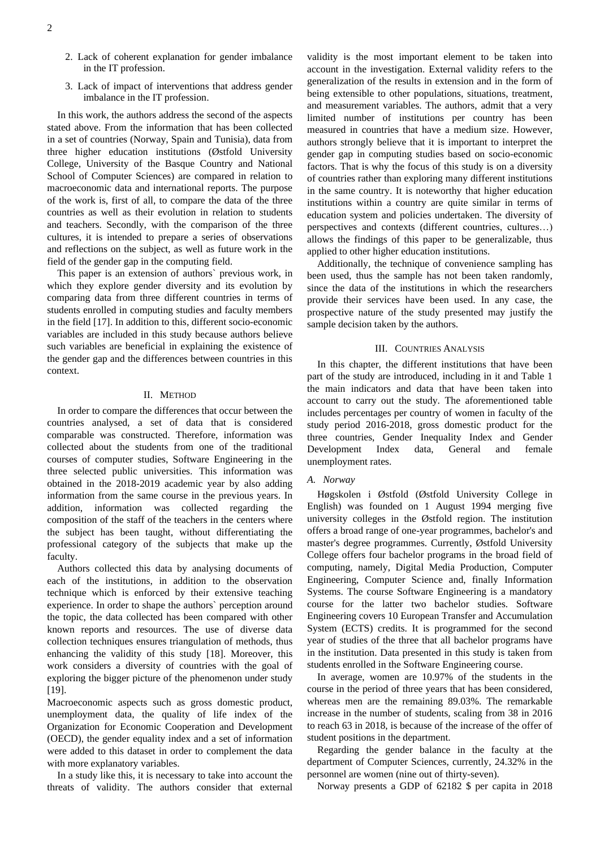- 2. Lack of coherent explanation for gender imbalance in the IT profession.
- 3. Lack of impact of interventions that address gender imbalance in the IT profession.

In this work, the authors address the second of the aspects stated above. From the information that has been collected in a set of countries (Norway, Spain and Tunisia), data from three higher education institutions (Østfold University College, University of the Basque Country and National School of Computer Sciences) are compared in relation to macroeconomic data and international reports. The purpose of the work is, first of all, to compare the data of the three countries as well as their evolution in relation to students and teachers. Secondly, with the comparison of the three cultures, it is intended to prepare a series of observations and reflections on the subject, as well as future work in the field of the gender gap in the computing field.

This paper is an extension of authors` previous work, in which they explore gender diversity and its evolution by comparing data from three different countries in terms of students enrolled in computing studies and faculty members in the field [17]. In addition to this, different socio-economic variables are included in this study because authors believe such variables are beneficial in explaining the existence of the gender gap and the differences between countries in this context.

## II. METHOD

In order to compare the differences that occur between the countries analysed, a set of data that is considered comparable was constructed. Therefore, information was collected about the students from one of the traditional courses of computer studies, Software Engineering in the three selected public universities. This information was obtained in the 2018-2019 academic year by also adding information from the same course in the previous years. In addition, information was collected regarding the composition of the staff of the teachers in the centers where the subject has been taught, without differentiating the professional category of the subjects that make up the faculty.

Authors collected this data by analysing documents of each of the institutions, in addition to the observation technique which is enforced by their extensive teaching experience. In order to shape the authors` perception around the topic, the data collected has been compared with other known reports and resources. The use of diverse data collection techniques ensures triangulation of methods, thus enhancing the validity of this study [18]. Moreover, this work considers a diversity of countries with the goal of exploring the bigger picture of the phenomenon under study [19].

Macroeconomic aspects such as gross domestic product, unemployment data, the quality of life index of the Organization for Economic Cooperation and Development (OECD), the gender equality index and a set of information were added to this dataset in order to complement the data with more explanatory variables.

In a study like this, it is necessary to take into account the threats of validity. The authors consider that external

validity is the most important element to be taken into account in the investigation. External validity refers to the generalization of the results in extension and in the form of being extensible to other populations, situations, treatment, and measurement variables. The authors, admit that a very limited number of institutions per country has been measured in countries that have a medium size. However, authors strongly believe that it is important to interpret the gender gap in computing studies based on socio-economic factors. That is why the focus of this study is on a diversity of countries rather than exploring many different institutions in the same country. It is noteworthy that higher education institutions within a country are quite similar in terms of education system and policies undertaken. The diversity of perspectives and contexts (different countries, cultures…) allows the findings of this paper to be generalizable, thus applied to other higher education institutions.

Additionally, the technique of convenience sampling has been used, thus the sample has not been taken randomly, since the data of the institutions in which the researchers provide their services have been used. In any case, the prospective nature of the study presented may justify the sample decision taken by the authors.

# III. COUNTRIES ANALYSIS

In this chapter, the different institutions that have been part of the study are introduced, including in it and Table 1 the main indicators and data that have been taken into account to carry out the study. The aforementioned table includes percentages per country of women in faculty of the study period 2016-2018, gross domestic product for the three countries, Gender Inequality Index and Gender Development Index data, General and female unemployment rates.

# *A. Norway*

Høgskolen i Østfold (Østfold University College in English) was founded on 1 August 1994 merging five university colleges in the Østfold region. The institution offers a broad range of one-year programmes, bachelor's and master's degree programmes. Currently, Østfold University College offers four bachelor programs in the broad field of computing, namely, Digital Media Production, Computer Engineering, Computer Science and, finally Information Systems. The course Software Engineering is a mandatory course for the latter two bachelor studies. Software Engineering covers 10 European Transfer and Accumulation System (ECTS) credits. It is programmed for the second year of studies of the three that all bachelor programs have in the institution. Data presented in this study is taken from students enrolled in the Software Engineering course.

In average, women are 10.97% of the students in the course in the period of three years that has been considered, whereas men are the remaining 89.03%. The remarkable increase in the number of students, scaling from 38 in 2016 to reach 63 in 2018, is because of the increase of the offer of student positions in the department.

Regarding the gender balance in the faculty at the department of Computer Sciences, currently, 24.32% in the personnel are women (nine out of thirty-seven).

Norway presents a GDP of 62182 \$ per capita in 2018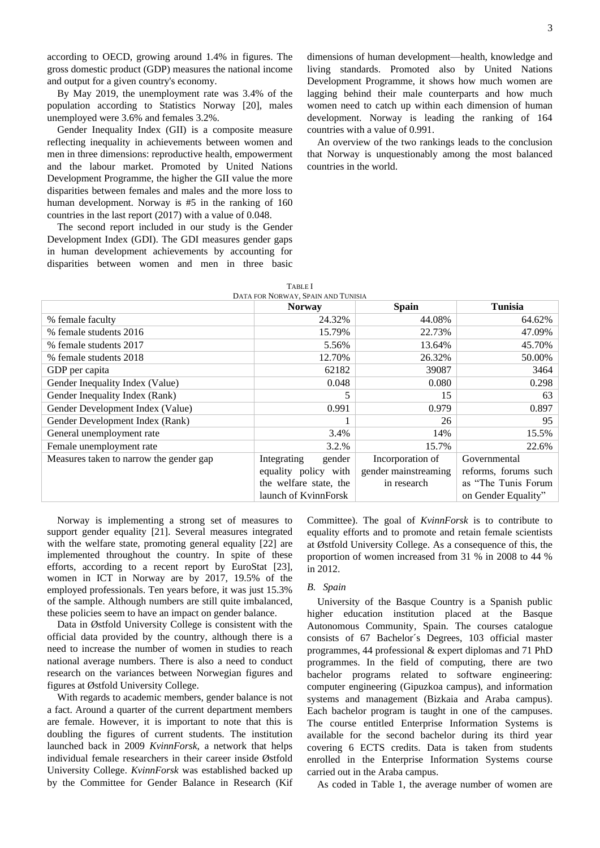according to OECD, growing around 1.4% in figures. The gross domestic product (GDP) measures the national income and output for a given country's economy.

By May 2019, the unemployment rate was 3.4% of the population according to Statistics Norway [20], males unemployed were 3.6% and females 3.2%.

Gender Inequality Index (GII) is a composite measure reflecting inequality in achievements between women and men in three dimensions: reproductive health, empowerment and the labour market. Promoted by United Nations Development Programme, the higher the GII value the more disparities between females and males and the more loss to human development. Norway is #5 in the ranking of 160 countries in the last report (2017) with a value of 0.048.

The second report included in our study is the Gender Development Index (GDI). The GDI measures gender gaps in human development achievements by accounting for disparities between women and men in three basic dimensions of human development—health, knowledge and living standards. Promoted also by United Nations Development Programme, it shows how much women are lagging behind their male counterparts and how much women need to catch up within each dimension of human development. Norway is leading the ranking of 164 countries with a value of 0.991.

An overview of the two rankings leads to the conclusion that Norway is unquestionably among the most balanced countries in the world.

| DATA FOR NORWAY, SPAIN AND TUNISIA      |                        |                      |                      |
|-----------------------------------------|------------------------|----------------------|----------------------|
|                                         | <b>Norway</b>          | <b>Spain</b>         | <b>Tunisia</b>       |
| % female faculty                        | 24.32%                 | 44.08%               | 64.62%               |
| % female students 2016                  | 15.79%                 | 22.73%               | 47.09%               |
| % female students 2017                  | 5.56%                  | 13.64%               | 45.70%               |
| % female students 2018                  | 12.70%                 | 26.32%               | 50.00%               |
| GDP per capita                          | 62182                  | 39087                | 3464                 |
| Gender Inequality Index (Value)         | 0.048                  | 0.080                | 0.298                |
| Gender Inequality Index (Rank)          | 5                      | 15                   | 63                   |
| Gender Development Index (Value)        | 0.991                  | 0.979                | 0.897                |
| Gender Development Index (Rank)         |                        | 26                   | 95                   |
| General unemployment rate               | 3.4%                   | 14%                  | 15.5%                |
| Female unemployment rate                | 3.2.%                  | 15.7%                | 22.6%                |
| Measures taken to narrow the gender gap | Integrating<br>gender  | Incorporation of     | Governmental         |
|                                         | equality policy with   | gender mainstreaming | reforms, forums such |
|                                         | the welfare state, the | in research          | as "The Tunis Forum" |
|                                         | launch of KvinnForsk   |                      | on Gender Equality"  |
|                                         |                        |                      |                      |

TABLE I

 Norway is implementing a strong set of measures to support gender equality [21]. Several measures integrated with the welfare state, promoting general equality [22] are implemented throughout the country. In spite of these efforts, according to a recent report by EuroStat [23], women in ICT in Norway are by 2017, 19.5% of the employed professionals. Ten years before, it was just 15.3% of the sample. Although numbers are still quite imbalanced, these policies seem to have an impact on gender balance.

Data in Østfold University College is consistent with the official data provided by the country, although there is a need to increase the number of women in studies to reach national average numbers. There is also a need to conduct research on the variances between Norwegian figures and figures at Østfold University College.

With regards to academic members, gender balance is not a fact. Around a quarter of the current department members are female. However, it is important to note that this is doubling the figures of current students. The institution launched back in 2009 *KvinnForsk*, a network that helps individual female researchers in their career inside Østfold University College. *KvinnForsk* was established backed up by the Committee for Gender Balance in Research (Kif Committee). The goal of *KvinnForsk* is to contribute to equality efforts and to promote and retain female scientists at Østfold University College. As a consequence of this, the proportion of women increased from 31 % in 2008 to 44 % in 2012.

## *B. Spain*

University of the Basque Country is a Spanish public higher education institution placed at the Basque Autonomous Community, Spain. The courses catalogue consists of 67 Bachelor´s Degrees, 103 official master programmes, 44 professional & expert diplomas and 71 PhD programmes. In the field of computing, there are two bachelor programs related to software engineering: computer engineering (Gipuzkoa campus), and information systems and management (Bizkaia and Araba campus). Each bachelor program is taught in one of the campuses. The course entitled Enterprise Information Systems is available for the second bachelor during its third year covering 6 ECTS credits. Data is taken from students enrolled in the Enterprise Information Systems course carried out in the Araba campus.

As coded in Table 1, the average number of women are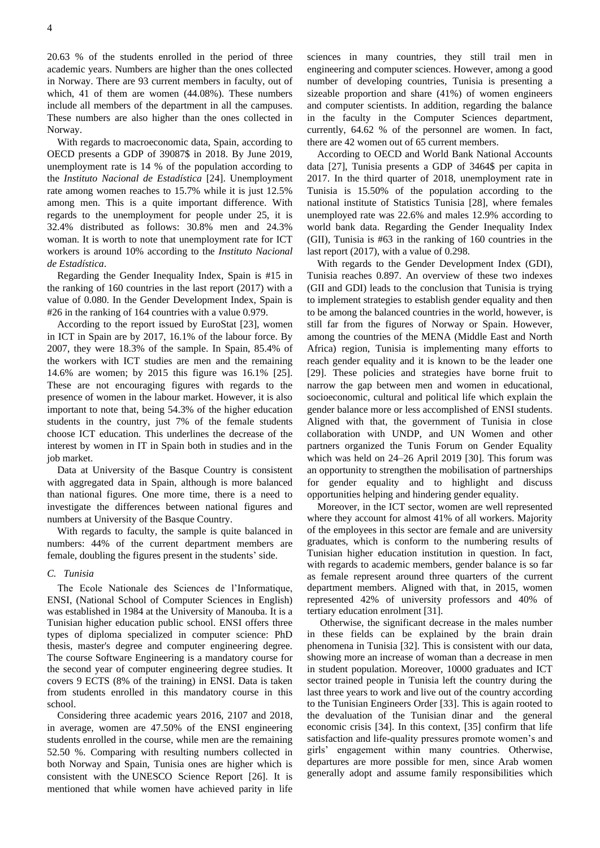20.63 % of the students enrolled in the period of three academic years. Numbers are higher than the ones collected in Norway. There are 93 current members in faculty, out of which, 41 of them are women (44.08%). These numbers include all members of the department in all the campuses. These numbers are also higher than the ones collected in Norway.

With regards to macroeconomic data, Spain, according to OECD presents a GDP of 39087\$ in 2018. By June 2019, unemployment rate is 14 % of the population according to the *Instituto Nacional de Estadística* [24]. Unemployment rate among women reaches to 15.7% while it is just 12.5% among men. This is a quite important difference. With regards to the unemployment for people under 25, it is 32.4% distributed as follows: 30.8% men and 24.3% woman. It is worth to note that unemployment rate for ICT workers is around 10% according to the *Instituto Nacional de Estadística*.

Regarding the Gender Inequality Index, Spain is #15 in the ranking of 160 countries in the last report (2017) with a value of 0.080. In the Gender Development Index, Spain is #26 in the ranking of 164 countries with a value 0.979.

According to the report issued by EuroStat [23], women in ICT in Spain are by 2017, 16.1% of the labour force. By 2007, they were 18.3% of the sample. In Spain, 85.4% of the workers with ICT studies are men and the remaining 14.6% are women; by 2015 this figure was 16.1% [25]. These are not encouraging figures with regards to the presence of women in the labour market. However, it is also important to note that, being 54.3% of the higher education students in the country, just 7% of the female students choose ICT education. This underlines the decrease of the interest by women in IT in Spain both in studies and in the job market.

Data at University of the Basque Country is consistent with aggregated data in Spain, although is more balanced than national figures. One more time, there is a need to investigate the differences between national figures and numbers at University of the Basque Country.

With regards to faculty, the sample is quite balanced in numbers: 44% of the current department members are female, doubling the figures present in the students' side.

# *C. Tunisia*

The Ecole Nationale des Sciences de l'Informatique, ENSI, (National School of Computer Sciences in English) was established in 1984 at the University of Manouba. It is a Tunisian higher education public school. ENSI offers three types of diploma specialized in computer science: PhD thesis, master's degree and computer engineering degree. The course Software Engineering is a mandatory course for the second year of computer engineering degree studies. It covers 9 ECTS (8% of the training) in ENSI. Data is taken from students enrolled in this mandatory course in this school.

Considering three academic years 2016, 2107 and 2018, in average, women are 47.50% of the ENSI engineering students enrolled in the course, while men are the remaining 52.50 %. Comparing with resulting numbers collected in both Norway and Spain, Tunisia ones are higher which is consistent with the UNESCO Science Report [26]. It is mentioned that while women have achieved parity in life

sciences in many countries, they still trail men in engineering and computer sciences. However, among a good number of developing countries, Tunisia is presenting a sizeable proportion and share (41%) of women engineers and computer scientists. In addition, regarding the balance in the faculty in the Computer Sciences department, currently, 64.62 % of the personnel are women. In fact, there are 42 women out of 65 current members.

According to OECD and World Bank National Accounts data [27], Tunisia presents a GDP of 3464\$ per capita in 2017. In the third quarter of 2018, unemployment rate in Tunisia is 15.50% of the population according to the national institute of Statistics Tunisia [28], where females unemployed rate was 22.6% and males 12.9% according to world bank data. Regarding the Gender Inequality Index (GII), Tunisia is #63 in the ranking of 160 countries in the last report (2017), with a value of 0.298.

With regards to the Gender Development Index (GDI), Tunisia reaches 0.897. An overview of these two indexes (GII and GDI) leads to the conclusion that Tunisia is trying to implement strategies to establish gender equality and then to be among the balanced countries in the world, however, is still far from the figures of Norway or Spain. However, among the countries of the MENA (Middle East and North Africa) region, Tunisia is implementing many efforts to reach gender equality and it is known to be the leader one [29]. These policies and strategies have borne fruit to narrow the gap between men and women in educational, socioeconomic, cultural and political life which explain the gender balance more or less accomplished of ENSI students. Aligned with that, the government of Tunisia in close collaboration with UNDP, and UN Women and other partners organized the Tunis Forum on Gender Equality which was held on 24–26 April 2019 [30]. This forum was an opportunity to strengthen the mobilisation of partnerships for gender equality and to highlight and discuss opportunities helping and hindering gender equality.

Moreover, in the ICT sector, women are well represented where they account for almost 41% of all workers. Majority of the employees in this sector are female and are university graduates, which is conform to the numbering results of Tunisian higher education institution in question. In fact, with regards to academic members, gender balance is so far as female represent around three quarters of the current department members. Aligned with that, in 2015, women represented 42% of university professors and 40% of tertiary education enrolment [31].

Otherwise, the significant decrease in the males number in these fields can be explained by the brain drain phenomena in Tunisia [32]. This is consistent with our data, showing more an increase of woman than a decrease in men in student population. Moreover, 10000 graduates and ICT sector trained people in Tunisia left the country during the last three years to work and live out of the country according to the Tunisian Engineers Order [33]. This is again rooted to the devaluation of the Tunisian dinar and the general economic crisis [34]. In this context, [35] confirm that life satisfaction and life-quality pressures promote women's and girls' engagement within many countries. Otherwise, departures are more possible for men, since Arab women generally adopt and assume family responsibilities which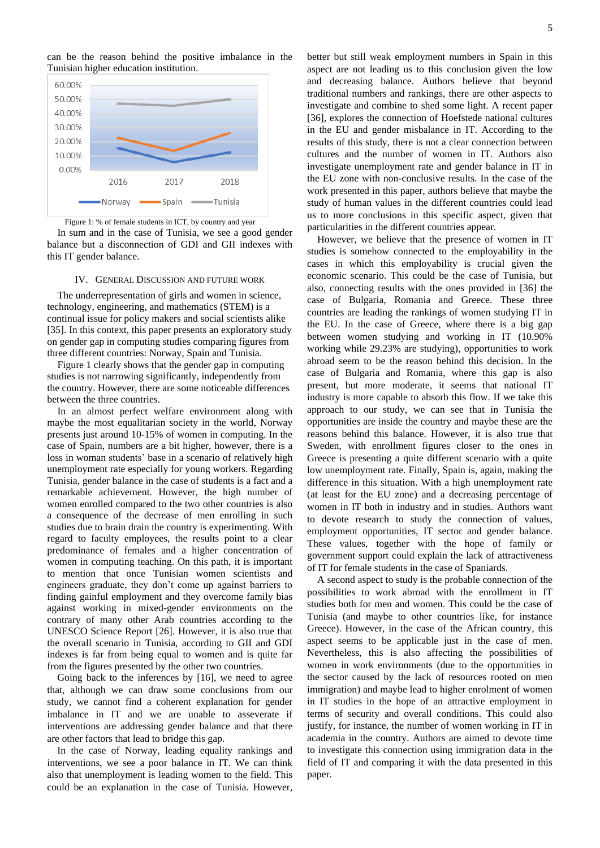can be the reason behind the positive imbalance in the Tunisian higher education institution.



Figure 1: % of female students in ICT, by country and year

In sum and in the case of Tunisia, we see a good gender balance but a disconnection of GDI and GII indexes with this IT gender balance.

#### IV. GENERAL DISCUSSION AND FUTURE WORK

The underrepresentation of girls and women in science, technology, engineering, and mathematics (STEM) is a continual issue for policy makers and social scientists alike [35]. In this context, this paper presents an exploratory study on gender gap in computing studies comparing figures from three different countries: Norway, Spain and Tunisia.

Figure 1 clearly shows that the gender gap in computing studies is not narrowing significantly, independently from the country. However, there are some noticeable differences between the three countries.

In an almost perfect welfare environment along with maybe the most equalitarian society in the world, Norway presents just around 10-15% of women in computing. In the case of Spain, numbers are a bit higher, however, there is a loss in woman students' base in a scenario of relatively high unemployment rate especially for young workers. Regarding Tunisia, gender balance in the case of students is a fact and a remarkable achievement. However, the high number of women enrolled compared to the two other countries is also a consequence of the decrease of men enrolling in such studies due to brain drain the country is experimenting. With regard to faculty employees, the results point to a clear predominance of females and a higher concentration of women in computing teaching. On this path, it is important to mention that once Tunisian women scientists and engineers graduate, they don't come up against barriers to finding gainful employment and they overcome family bias against working in mixed-gender environments on the contrary of many other Arab countries according to the UNESCO Science Report [26]. However, it is also true that the overall scenario in Tunisia, according to GII and GDI indexes is far from being equal to women and is quite far from the figures presented by the other two countries.

Going back to the inferences by [16], we need to agree that, although we can draw some conclusions from our study, we cannot find a coherent explanation for gender imbalance in IT and we are unable to asseverate if interventions are addressing gender balance and that there are other factors that lead to bridge this gap.

In the case of Norway, leading equality rankings and interventions, we see a poor balance in IT. We can think also that unemployment is leading women to the field. This could be an explanation in the case of Tunisia. However, better but still weak employment numbers in Spain in this aspect are not leading us to this conclusion given the low and decreasing balance. Authors believe that beyond traditional numbers and rankings, there are other aspects to investigate and combine to shed some light. A recent paper [36], explores the connection of Hoefstede national cultures in the EU and gender misbalance in IT. According to the results of this study, there is not a clear connection between cultures and the number of women in IT. Authors also investigate unemployment rate and gender balance in IT in the EU zone with non-conclusive results. In the case of the work presented in this paper, authors believe that maybe the study of human values in the different countries could lead us to more conclusions in this specific aspect, given that particularities in the different countries appear.

However, we believe that the presence of women in IT studies is somehow connected to the employability in the cases in which this employability is crucial given the economic scenario. This could be the case of Tunisia, but also, connecting results with the ones provided in [36] the case of Bulgaria, Romania and Greece. These three countries are leading the rankings of women studying IT in the EU. In the case of Greece, where there is a big gap between women studying and working in IT (10.90% working while 29.23% are studying), opportunities to work abroad seem to be the reason behind this decision. In the case of Bulgaria and Romania, where this gap is also present, but more moderate, it seems that national IT industry is more capable to absorb this flow. If we take this approach to our study, we can see that in Tunisia the opportunities are inside the country and maybe these are the reasons behind this balance. However, it is also true that Sweden, with enrollment figures closer to the ones in Greece is presenting a quite different scenario with a quite low unemployment rate. Finally, Spain is, again, making the difference in this situation. With a high unemployment rate (at least for the EU zone) and a decreasing percentage of women in IT both in industry and in studies. Authors want to devote research to study the connection of values, employment opportunities, IT sector and gender balance. These values, together with the hope of family or government support could explain the lack of attractiveness of IT for female students in the case of Spaniards.

A second aspect to study is the probable connection of the possibilities to work abroad with the enrollment in IT studies both for men and women. This could be the case of Tunisia (and maybe to other countries like, for instance Greece). However, in the case of the African country, this aspect seems to be applicable just in the case of men. Nevertheless, this is also affecting the possibilities of women in work environments (due to the opportunities in the sector caused by the lack of resources rooted on men immigration) and maybe lead to higher enrolment of women in IT studies in the hope of an attractive employment in terms of security and overall conditions. This could also justify, for instance, the number of women working in IT in academia in the country. Authors are aimed to devote time to investigate this connection using immigration data in the field of IT and comparing it with the data presented in this paper.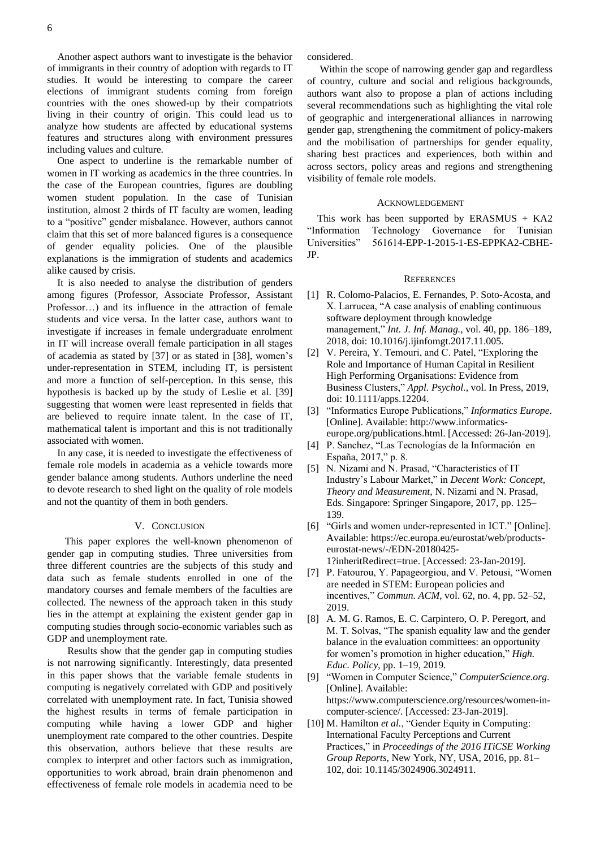Another aspect authors want to investigate is the behavior of immigrants in their country of adoption with regards to IT studies. It would be interesting to compare the career elections of immigrant students coming from foreign countries with the ones showed-up by their compatriots living in their country of origin. This could lead us to analyze how students are affected by educational systems features and structures along with environment pressures including values and culture.

One aspect to underline is the remarkable number of women in IT working as academics in the three countries. In the case of the European countries, figures are doubling women student population. In the case of Tunisian institution, almost 2 thirds of IT faculty are women, leading to a "positive" gender misbalance. However, authors cannot claim that this set of more balanced figures is a consequence of gender equality policies. One of the plausible explanations is the immigration of students and academics alike caused by crisis.

It is also needed to analyse the distribution of genders among figures (Professor, Associate Professor, Assistant Professor…) and its influence in the attraction of female students and vice versa. In the latter case, authors want to investigate if increases in female undergraduate enrolment in IT will increase overall female participation in all stages of academia as stated by [37] or as stated in [38], women's under-representation in STEM, including IT, is persistent and more a function of self-perception. In this sense, this hypothesis is backed up by the study of Leslie et al. [39] suggesting that women were least represented in fields that are believed to require innate talent. In the case of IT, mathematical talent is important and this is not traditionally associated with women.

In any case, it is needed to investigate the effectiveness of female role models in academia as a vehicle towards more gender balance among students. Authors underline the need to devote research to shed light on the quality of role models and not the quantity of them in both genders.

### V. CONCLUSION

 This paper explores the well-known phenomenon of gender gap in computing studies. Three universities from three different countries are the subjects of this study and data such as female students enrolled in one of the mandatory courses and female members of the faculties are collected. The newness of the approach taken in this study lies in the attempt at explaining the existent gender gap in computing studies through socio-economic variables such as GDP and unemployment rate.

 Results show that the gender gap in computing studies is not narrowing significantly. Interestingly, data presented in this paper shows that the variable female students in computing is negatively correlated with GDP and positively correlated with unemployment rate. In fact, Tunisia showed the highest results in terms of female participation in computing while having a lower GDP and higher unemployment rate compared to the other countries. Despite this observation, authors believe that these results are complex to interpret and other factors such as immigration, opportunities to work abroad, brain drain phenomenon and effectiveness of female role models in academia need to be considered.

Within the scope of narrowing gender gap and regardless of country, culture and social and religious backgrounds, authors want also to propose a plan of actions including several recommendations such as highlighting the vital role of geographic and intergenerational alliances in narrowing gender gap, strengthening the commitment of policy-makers and the mobilisation of partnerships for gender equality, sharing best practices and experiences, both within and across sectors, policy areas and regions and strengthening visibility of female role models.

## ACKNOWLEDGEMENT

This work has been supported by  $ERASMUS + KA2$ "Information Technology Governance for Tunisian Universities" 561614-EPP-1-2015-1-ES-EPPKA2-CBHE-JP.

#### **REFERENCES**

- [1] R. Colomo-Palacios, E. Fernandes, P. Soto-Acosta, and X. Larrucea, "A case analysis of enabling continuous software deployment through knowledge management," *Int. J. Inf. Manag.*, vol. 40, pp. 186–189, 2018, doi: 10.1016/j.ijinfomgt.2017.11.005.
- [2] V. Pereira, Y. Temouri, and C. Patel, "Exploring the Role and Importance of Human Capital in Resilient High Performing Organisations: Evidence from Business Clusters," *Appl. Psychol.*, vol. In Press, 2019, doi: 10.1111/apps.12204.
- [3] "Informatics Europe Publications," *Informatics Europe*. [Online]. Available: http://www.informaticseurope.org/publications.html. [Accessed: 26-Jan-2019].
- [4] P. Sanchez, "Las Tecnologías de la Información en España, 2017," p. 8.
- [5] N. Nizami and N. Prasad, "Characteristics of IT Industry's Labour Market," in *Decent Work: Concept, Theory and Measurement*, N. Nizami and N. Prasad, Eds. Singapore: Springer Singapore, 2017, pp. 125– 139.
- [6] "Girls and women under-represented in ICT." [Online]. Available: https://ec.europa.eu/eurostat/web/productseurostat-news/-/EDN-20180425- 1?inheritRedirect=true. [Accessed: 23-Jan-2019].
- [7] P. Fatourou, Y. Papageorgiou, and V. Petousi, "Women are needed in STEM: European policies and incentives," *Commun. ACM*, vol. 62, no. 4, pp. 52–52, 2019.
- [8] A. M. G. Ramos, E. C. Carpintero, O. P. Peregort, and M. T. Solvas, "The spanish equality law and the gender balance in the evaluation committees: an opportunity for women's promotion in higher education," *High. Educ. Policy*, pp. 1–19, 2019.
- [9] "Women in Computer Science," *ComputerScience.org*. [Online]. Available: https://www.computerscience.org/resources/women-incomputer-science/. [Accessed: 23-Jan-2019].
- [10] M. Hamilton *et al.*, "Gender Equity in Computing: International Faculty Perceptions and Current Practices," in *Proceedings of the 2016 ITiCSE Working Group Reports*, New York, NY, USA, 2016, pp. 81– 102, doi: 10.1145/3024906.3024911.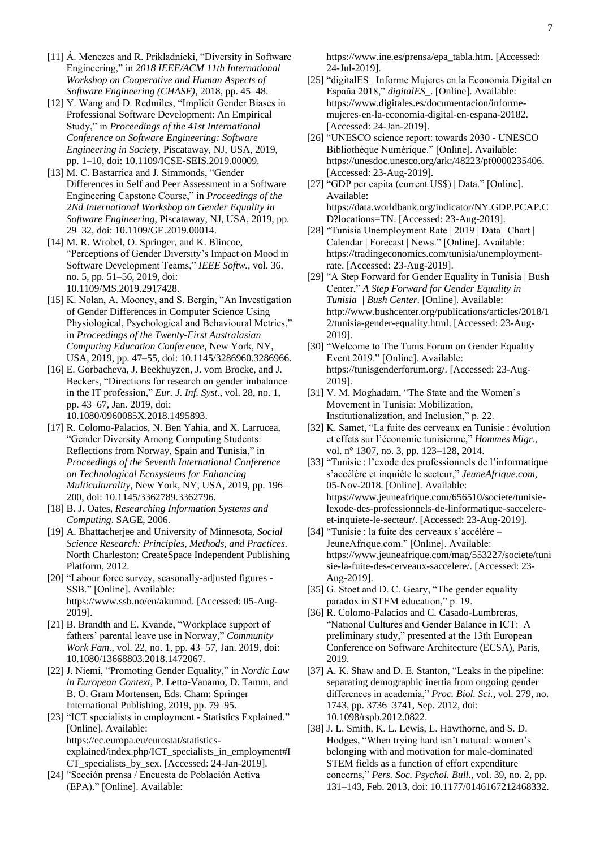- [11] Á. Menezes and R. Prikladnicki, "Diversity in Software Engineering," in *2018 IEEE/ACM 11th International Workshop on Cooperative and Human Aspects of Software Engineering (CHASE)*, 2018, pp. 45–48.
- [12] Y. Wang and D. Redmiles, "Implicit Gender Biases in Professional Software Development: An Empirical Study," in *Proceedings of the 41st International Conference on Software Engineering: Software Engineering in Society*, Piscataway, NJ, USA, 2019, pp. 1–10, doi: 10.1109/ICSE-SEIS.2019.00009.
- [13] M. C. Bastarrica and J. Simmonds, "Gender Differences in Self and Peer Assessment in a Software Engineering Capstone Course," in *Proceedings of the 2Nd International Workshop on Gender Equality in Software Engineering*, Piscataway, NJ, USA, 2019, pp. 29–32, doi: 10.1109/GE.2019.00014.
- [14] M. R. Wrobel, O. Springer, and K. Blincoe, "Perceptions of Gender Diversity's Impact on Mood in Software Development Teams," *IEEE Softw.*, vol. 36, no. 5, pp. 51–56, 2019, doi: 10.1109/MS.2019.2917428.
- [15] K. Nolan, A. Mooney, and S. Bergin, "An Investigation of Gender Differences in Computer Science Using Physiological, Psychological and Behavioural Metrics," in *Proceedings of the Twenty-First Australasian Computing Education Conference*, New York, NY, USA, 2019, pp. 47–55, doi: 10.1145/3286960.3286966.
- [16] E. Gorbacheva, J. Beekhuyzen, J. vom Brocke, and J. Beckers, "Directions for research on gender imbalance in the IT profession," *Eur. J. Inf. Syst.*, vol. 28, no. 1, pp. 43–67, Jan. 2019, doi: 10.1080/0960085X.2018.1495893.
- [17] R. Colomo-Palacios, N. Ben Yahia, and X. Larrucea, "Gender Diversity Among Computing Students: Reflections from Norway, Spain and Tunisia," in *Proceedings of the Seventh International Conference on Technological Ecosystems for Enhancing Multiculturality*, New York, NY, USA, 2019, pp. 196– 200, doi: 10.1145/3362789.3362796.
- [18] B. J. Oates, *Researching Information Systems and Computing*. SAGE, 2006.
- [19] A. Bhattacherjee and University of Minnesota, *Social Science Research: Principles, Methods, and Practices.* North Charleston: CreateSpace Independent Publishing Platform, 2012.
- [20] "Labour force survey, seasonally-adjusted figures SSB." [Online]. Available: https://www.ssb.no/en/akumnd. [Accessed: 05-Aug-2019].
- [21] B. Brandth and E. Kvande, "Workplace support of fathers' parental leave use in Norway," *Community Work Fam.*, vol. 22, no. 1, pp. 43–57, Jan. 2019, doi: 10.1080/13668803.2018.1472067.
- [22] J. Niemi, "Promoting Gender Equality," in *Nordic Law in European Context*, P. Letto-Vanamo, D. Tamm, and B. O. Gram Mortensen, Eds. Cham: Springer International Publishing, 2019, pp. 79–95.
- [23] "ICT specialists in employment Statistics Explained." [Online]. Available: https://ec.europa.eu/eurostat/statisticsexplained/index.php/ICT\_specialists\_in\_employment#I CT\_specialists\_by\_sex. [Accessed: 24-Jan-2019].
- [24] "Sección prensa / Encuesta de Población Activa (EPA)." [Online]. Available:

https://www.ine.es/prensa/epa\_tabla.htm. [Accessed: 24-Jul-2019].

- [25] "digitalES\_ Informe Mujeres en la Economía Digital en España 2018," *digitalES\_*. [Online]. Available: https://www.digitales.es/documentacion/informemujeres-en-la-economia-digital-en-espana-20182. [Accessed: 24-Jan-2019].
- [26] "UNESCO science report: towards 2030 UNESCO Bibliothèque Numérique." [Online]. Available: https://unesdoc.unesco.org/ark:/48223/pf0000235406. [Accessed: 23-Aug-2019].
- [27] "GDP per capita (current US\$) | Data." [Online]. Available: https://data.worldbank.org/indicator/NY.GDP.PCAP.C D?locations=TN. [Accessed: 23-Aug-2019].
- [28] "Tunisia Unemployment Rate | 2019 | Data | Chart | Calendar | Forecast | News." [Online]. Available: https://tradingeconomics.com/tunisia/unemploymentrate. [Accessed: 23-Aug-2019].
- [29] "A Step Forward for Gender Equality in Tunisia | Bush Center," *A Step Forward for Gender Equality in Tunisia | Bush Center*. [Online]. Available: http://www.bushcenter.org/publications/articles/2018/1 2/tunisia-gender-equality.html. [Accessed: 23-Aug-2019].
- [30] "Welcome to The Tunis Forum on Gender Equality Event 2019." [Online]. Available: https://tunisgenderforum.org/. [Accessed: 23-Aug-2019].
- [31] V. M. Moghadam, "The State and the Women's Movement in Tunisia: Mobilization, Institutionalization, and Inclusion," p. 22.
- [32] K. Samet, "La fuite des cerveaux en Tunisie : évolution et effets sur l'économie tunisienne," *Hommes Migr.*, vol. n° 1307, no. 3, pp. 123–128, 2014.
- [33] "Tunisie : l'exode des professionnels de l'informatique s'accélère et inquiète le secteur," *JeuneAfrique.com*, 05-Nov-2018. [Online]. Available: https://www.jeuneafrique.com/656510/societe/tunisielexode-des-professionnels-de-linformatique-saccelereet-inquiete-le-secteur/. [Accessed: 23-Aug-2019].
- [34] "Tunisie : la fuite des cerveaux s'accélère JeuneAfrique.com." [Online]. Available: https://www.jeuneafrique.com/mag/553227/societe/tuni sie-la-fuite-des-cerveaux-saccelere/. [Accessed: 23- Aug-2019].
- [35] G. Stoet and D. C. Geary, "The gender equality paradox in STEM education," p. 19.
- [36] R. Colomo-Palacios and C. Casado-Lumbreras, "National Cultures and Gender Balance in ICT: A preliminary study," presented at the 13th European Conference on Software Architecture (ECSA), Paris, 2019.
- [37] A. K. Shaw and D. E. Stanton, "Leaks in the pipeline: separating demographic inertia from ongoing gender differences in academia," *Proc. Biol. Sci.*, vol. 279, no. 1743, pp. 3736–3741, Sep. 2012, doi: 10.1098/rspb.2012.0822.
- [38] J. L. Smith, K. L. Lewis, L. Hawthorne, and S. D. Hodges, "When trying hard isn't natural: women's belonging with and motivation for male-dominated STEM fields as a function of effort expenditure concerns," *Pers. Soc. Psychol. Bull.*, vol. 39, no. 2, pp. 131–143, Feb. 2013, doi: 10.1177/0146167212468332.